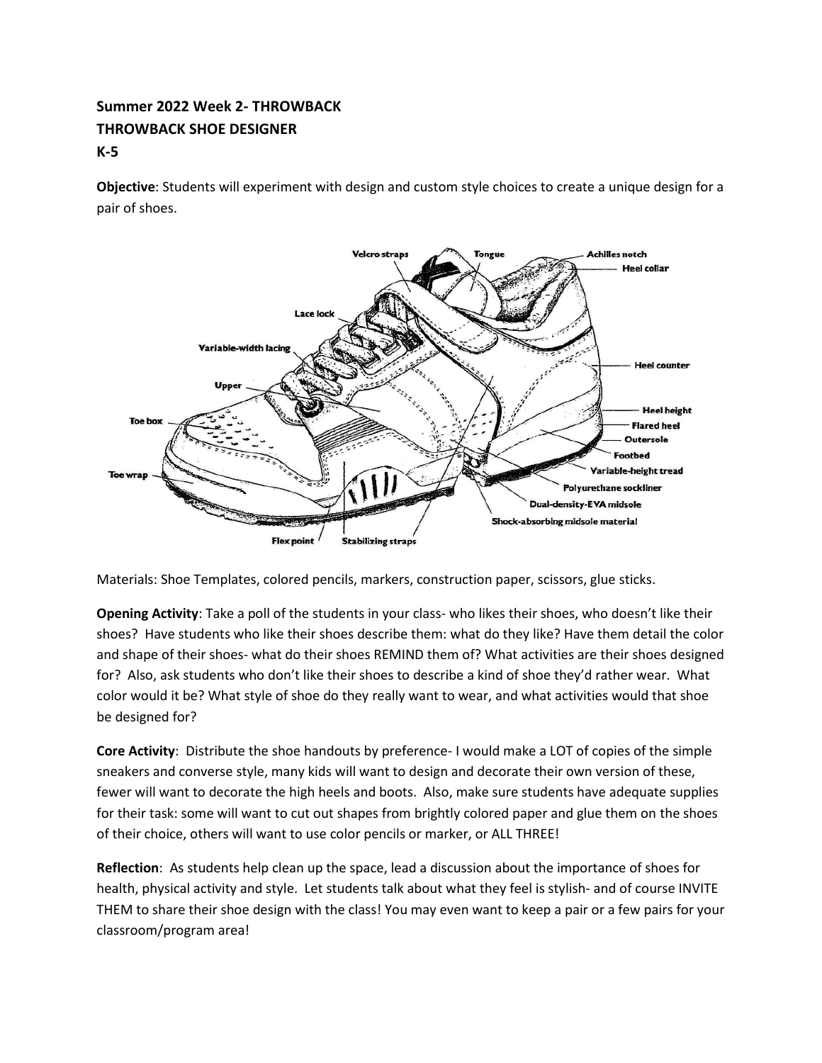## **Summer 2022 Week 2- THROWBACK THROWBACK SHOE DESIGNER K-5**

**Objective**: Students will experiment with design and custom style choices to create a unique design for a pair of shoes.



Materials: Shoe Templates, colored pencils, markers, construction paper, scissors, glue sticks.

**Opening Activity**: Take a poll of the students in your class- who likes their shoes, who doesn't like their shoes? Have students who like their shoes describe them: what do they like? Have them detail the color and shape of their shoes- what do their shoes REMIND them of? What activities are their shoes designed for? Also, ask students who don't like their shoes to describe a kind of shoe they'd rather wear. What color would it be? What style of shoe do they really want to wear, and what activities would that shoe be designed for?

**Core Activity**: Distribute the shoe handouts by preference- I would make a LOT of copies of the simple sneakers and converse style, many kids will want to design and decorate their own version of these, fewer will want to decorate the high heels and boots. Also, make sure students have adequate supplies for their task: some will want to cut out shapes from brightly colored paper and glue them on the shoes of their choice, others will want to use color pencils or marker, or ALL THREE!

**Reflection**: As students help clean up the space, lead a discussion about the importance of shoes for health, physical activity and style. Let students talk about what they feel is stylish- and of course INVITE THEM to share their shoe design with the class! You may even want to keep a pair or a few pairs for your classroom/program area!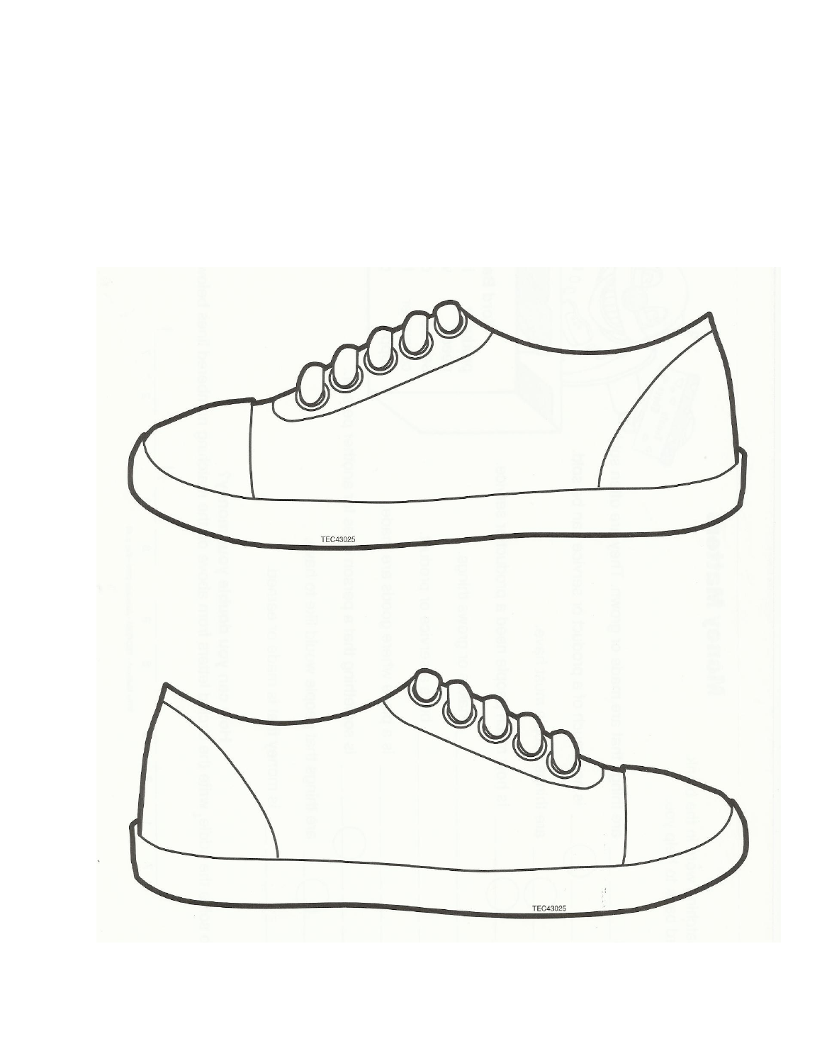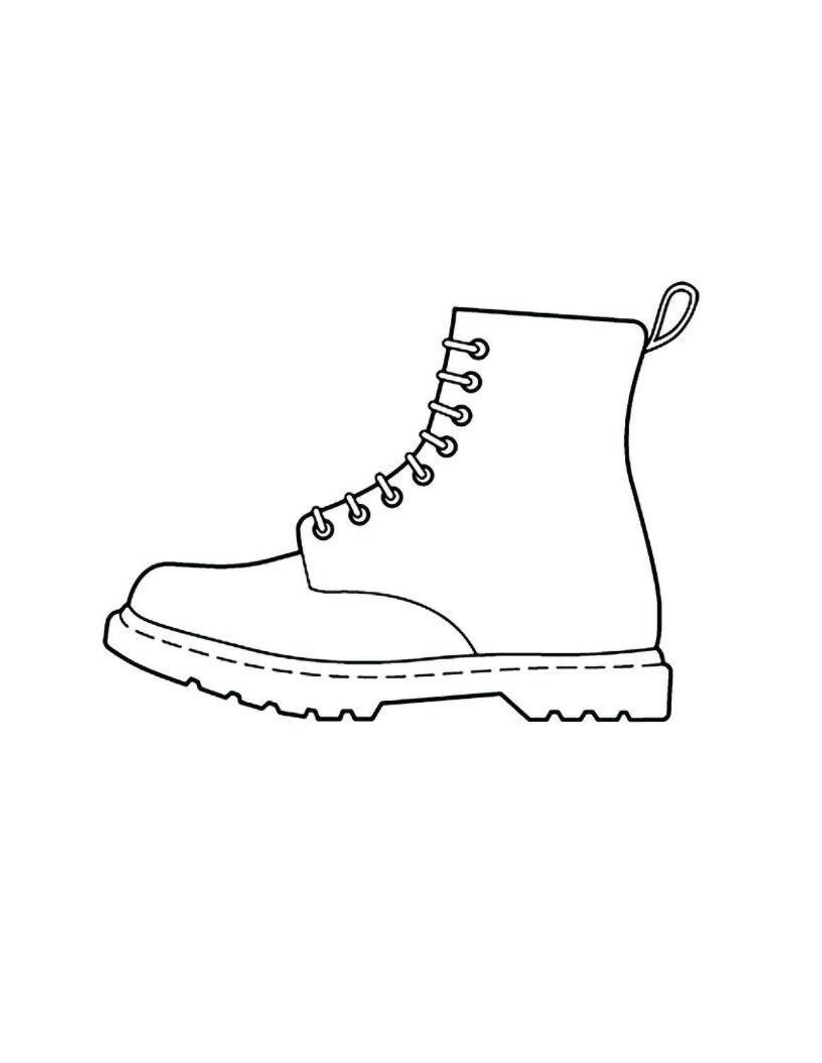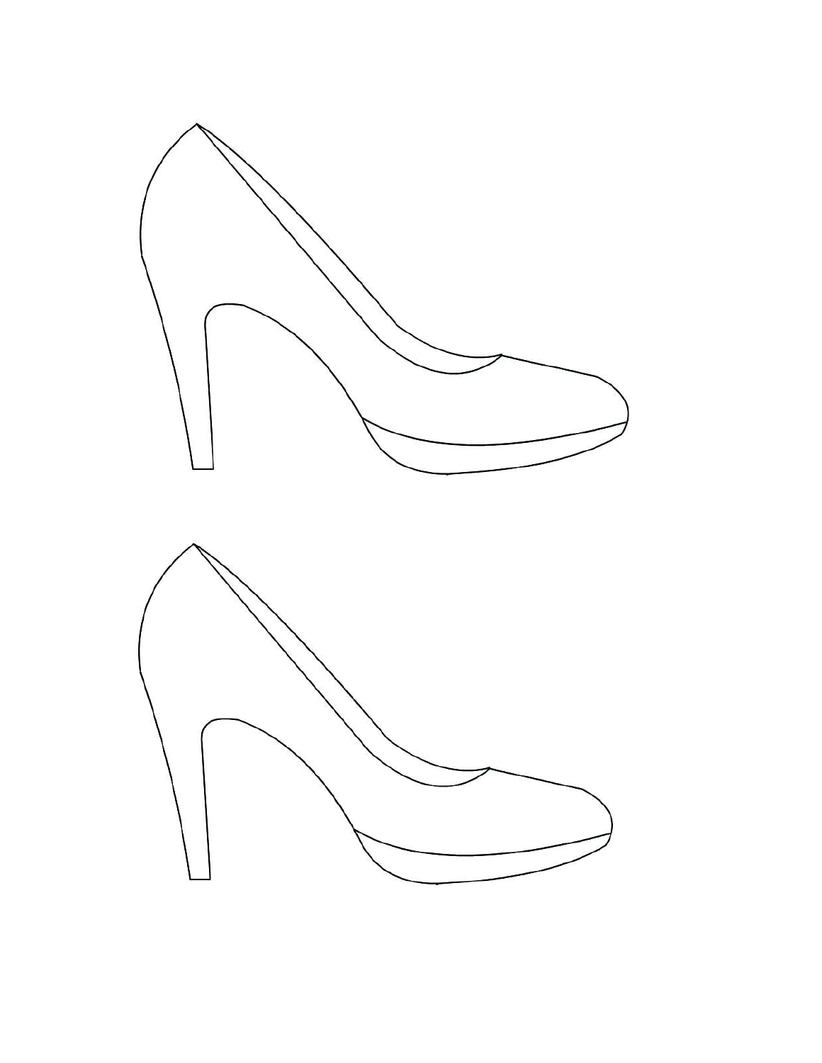